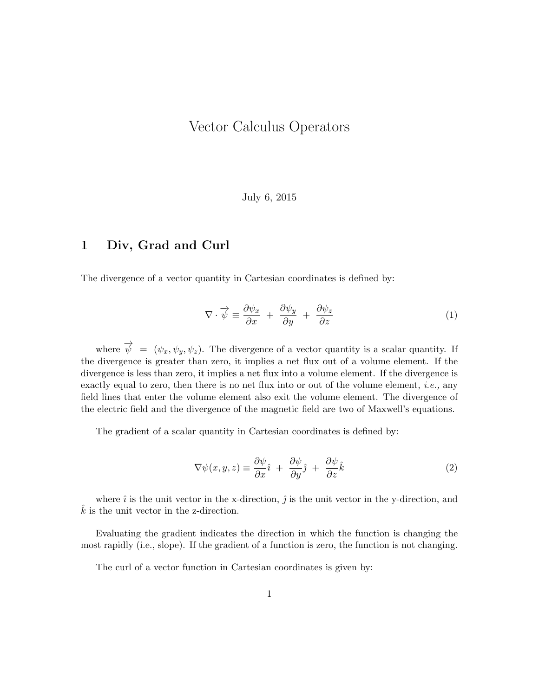# Vector Calculus Operators

July 6, 2015

#### 1 Div, Grad and Curl

The divergence of a vector quantity in Cartesian coordinates is defined by:

$$
\nabla \cdot \overrightarrow{\psi} \equiv \frac{\partial \psi_x}{\partial x} + \frac{\partial \psi_y}{\partial y} + \frac{\partial \psi_z}{\partial z} \tag{1}
$$

where  $\overrightarrow{\psi} = (\psi_x, \psi_y, \psi_z)$ . The divergence of a vector quantity is a scalar quantity. If the divergence is greater than zero, it implies a net flux out of a volume element. If the divergence is less than zero, it implies a net flux into a volume element. If the divergence is exactly equal to zero, then there is no net flux into or out of the volume element, *i.e.*, any field lines that enter the volume element also exit the volume element. The divergence of the electric field and the divergence of the magnetic field are two of Maxwell's equations.

The gradient of a scalar quantity in Cartesian coordinates is defined by:

$$
\nabla \psi(x, y, z) \equiv \frac{\partial \psi}{\partial x}\hat{i} + \frac{\partial \psi}{\partial y}\hat{j} + \frac{\partial \psi}{\partial z}\hat{k}
$$
 (2)

where  $\hat{i}$  is the unit vector in the x-direction,  $\hat{j}$  is the unit vector in the y-direction, and  $k$  is the unit vector in the z-direction.

Evaluating the gradient indicates the direction in which the function is changing the most rapidly (i.e., slope). If the gradient of a function is zero, the function is not changing.

The curl of a vector function in Cartesian coordinates is given by: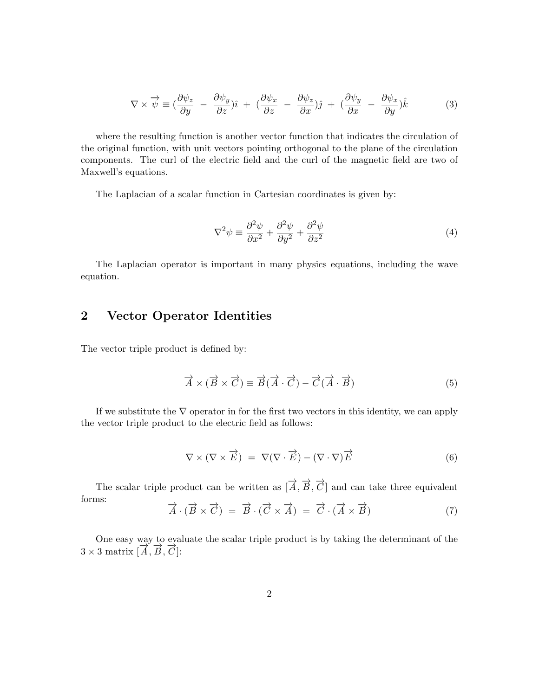$$
\nabla \times \overrightarrow{\psi} \equiv \left(\frac{\partial \psi_z}{\partial y} - \frac{\partial \psi_y}{\partial z}\right)\hat{\imath} + \left(\frac{\partial \psi_x}{\partial z} - \frac{\partial \psi_z}{\partial x}\right)\hat{\jmath} + \left(\frac{\partial \psi_y}{\partial x} - \frac{\partial \psi_x}{\partial y}\right)\hat{k} \tag{3}
$$

where the resulting function is another vector function that indicates the circulation of the original function, with unit vectors pointing orthogonal to the plane of the circulation components. The curl of the electric field and the curl of the magnetic field are two of Maxwell's equations.

The Laplacian of a scalar function in Cartesian coordinates is given by:

$$
\nabla^2 \psi \equiv \frac{\partial^2 \psi}{\partial x^2} + \frac{\partial^2 \psi}{\partial y^2} + \frac{\partial^2 \psi}{\partial z^2}
$$
 (4)

The Laplacian operator is important in many physics equations, including the wave equation.

### 2 Vector Operator Identities

The vector triple product is defined by:

$$
\vec{A} \times (\vec{B} \times \vec{C}) \equiv \vec{B}(\vec{A} \cdot \vec{C}) - \vec{C}(\vec{A} \cdot \vec{B})
$$
(5)

If we substitute the  $\nabla$  operator in for the first two vectors in this identity, we can apply the vector triple product to the electric field as follows:

$$
\nabla \times (\nabla \times \vec{E}) = \nabla (\nabla \cdot \vec{E}) - (\nabla \cdot \nabla) \vec{E}
$$
 (6)

The scalar triple product can be written as  $[\vec{A}, \vec{B}, \vec{C}]$  and can take three equivalent forms:

$$
\vec{A} \cdot (\vec{B} \times \vec{C}) = \vec{B} \cdot (\vec{C} \times \vec{A}) = \vec{C} \cdot (\vec{A} \times \vec{B}) \tag{7}
$$

One easy way to evaluate the scalar triple product is by taking the determinant of the  $3 \times 3$  matrix  $[\overrightarrow{A}, \overrightarrow{B}, \overrightarrow{C}]$ :